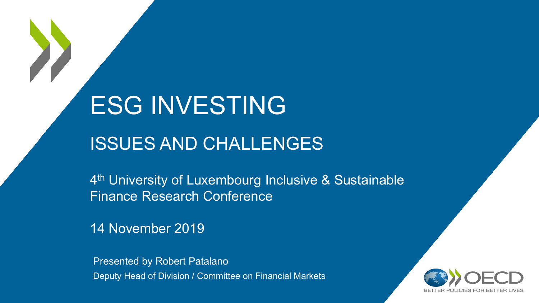# ESG INVESTING

# ISSUES AND CHALLENGES

4<sup>th</sup> University of Luxembourg Inclusive & Sustainable Finance Research Conference

14 November 2019

Presented by Robert Patalano Deputy Head of Division / Committee on Financial Markets

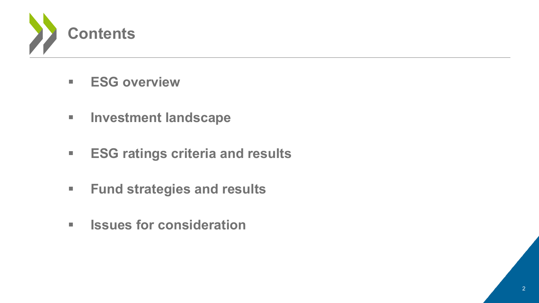

- **ESG overview**
- **Investment landscape**
- **ESG ratings criteria and results**
- **Fund strategies and results**
- **ISSUES for consideration**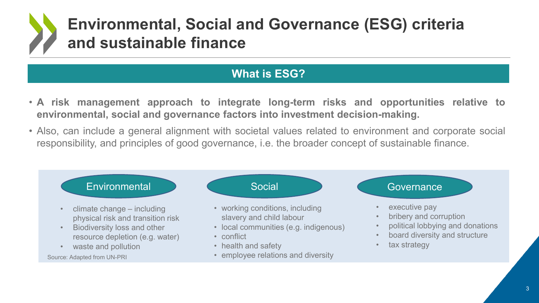# **Environmental, Social and Governance (ESG) criteria and sustainable finance**

### **What is ESG?**

- **A risk management approach to integrate long-term risks and opportunities relative to environmental, social and governance factors into investment decision-making.**
- Also, can include a general alignment with societal values related to environment and corporate social responsibility, and principles of good governance, i.e. the broader concept of sustainable finance.

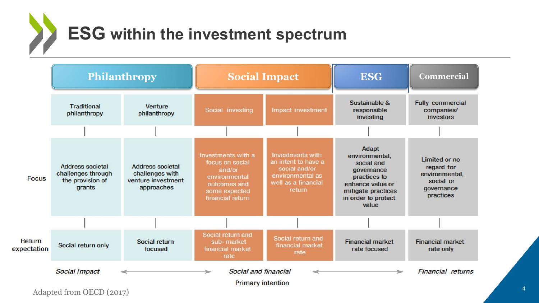**ESG within the investment spectrum**



Adapted from OECD (2017)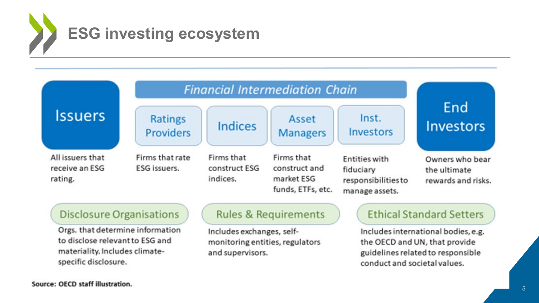



#### **Disclosure Organisations**

Orgs. that determine information to disclose relevant to ESG and materiality. Includes climatespecific disclosure.

#### **Rules & Requirements**

Includes exchanges, selfmonitoring entities, regulators and supervisors.

### **Ethical Standard Setters**

Includes international bodies, e.g. the OECD and UN, that provide guidelines related to responsible conduct and societal values.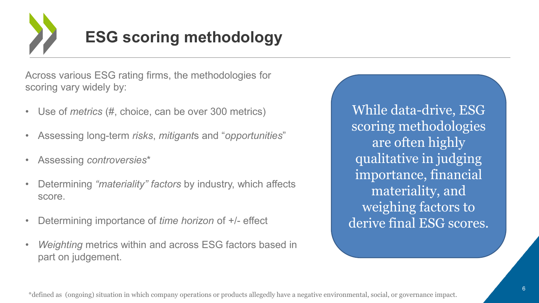

Across various ESG rating firms, the methodologies for scoring vary widely by:

- Use of *metrics* (#, choice, can be over 300 metrics)
- Assessing long-term *risks*, *mitigant*s and "*opportunities*"
- Assessing *controversies*\*
- Determining *"materiality" factors* by industry, which affects score.
- Determining importance of *time horizon* of +/- effect
- *Weighting* metrics within and across ESG factors based in part on judgement.

While data-drive, ESG scoring methodologies are often highly qualitative in judging importance, financial materiality, and weighing factors to derive final ESG scores.

\*defined as (ongoing) situation in which company operations or products allegedly have a negative environmental, social, or governance impact.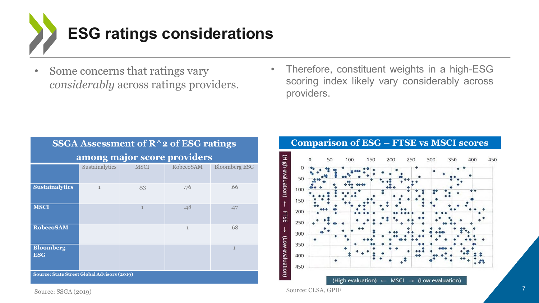

- Some concerns that ratings vary *considerably* across ratings providers.
- Therefore, constituent weights in a high-ESG scoring index likely vary considerably across providers.

| SSGA Assessment of $R^2$ of ESG ratings            |                |              |              |                      |  |  |  |
|----------------------------------------------------|----------------|--------------|--------------|----------------------|--|--|--|
| among major score providers                        |                |              |              |                      |  |  |  |
|                                                    | Sustainalytics | <b>MSCI</b>  | RobecoSAM    | <b>Bloomberg ESG</b> |  |  |  |
| <b>Sustainalytics</b>                              | 1              | .53          | .76          | .66                  |  |  |  |
| <b>MSCI</b>                                        |                | $\mathbf{1}$ | .48          | .47                  |  |  |  |
| <b>RobecoSAM</b>                                   |                |              | $\mathbf{1}$ | .68                  |  |  |  |
| <b>Bloomberg</b><br><b>ESG</b>                     |                |              |              |                      |  |  |  |
| <b>Source: State Street Global Advisors (2019)</b> |                |              |              |                      |  |  |  |

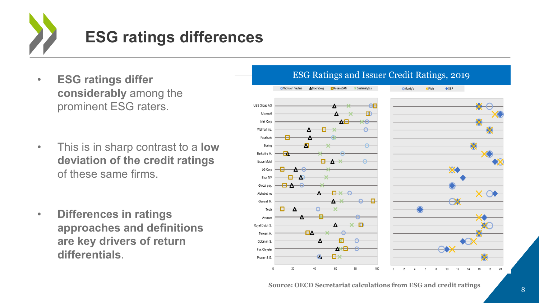

- **ESG ratings differ considerably** among the prominent ESG raters.
- This is in sharp contrast to a **low deviation of the credit ratings**  of these same firms.
- **Differences in ratings approaches and definitions are key drivers of return differentials**.



#### ESG Ratings and Issuer Credit Ratings, 2019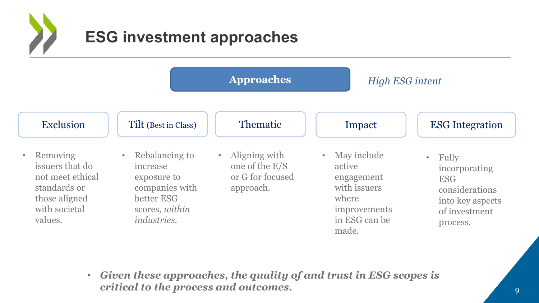

|                                                                                                              | <b>Approaches</b>                                                                                                 |                                                                               | <b>High ESG intent</b>                                                                                              |                                                                                                                      |
|--------------------------------------------------------------------------------------------------------------|-------------------------------------------------------------------------------------------------------------------|-------------------------------------------------------------------------------|---------------------------------------------------------------------------------------------------------------------|----------------------------------------------------------------------------------------------------------------------|
| Exclusion                                                                                                    | Tilt (Best in Class)                                                                                              | <b>Thematic</b>                                                               | Impact                                                                                                              | <b>ESG</b> Integration                                                                                               |
| Removing<br>issuers that do<br>not meet ethical<br>standards or<br>those aligned<br>with societal<br>values. | Rebalancing to<br>increase<br>exposure to<br>companies with<br>better ESG<br>scores, within<br><i>industries.</i> | Aligning with<br>$\bullet$<br>one of the E/S<br>or G for focused<br>approach. | May include<br>$\bullet$<br>active<br>engagement<br>with issuers<br>where<br>improvements<br>in ESG can be<br>made. | Fully<br>$\bullet$<br>incorporating<br><b>ESG</b><br>considerations<br>into key aspects<br>of investment<br>process. |

• *Given these approaches, the quality of and trust in ESG scopes is critical to the process and outcomes.* 9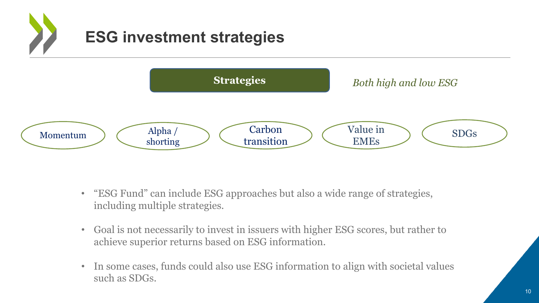

- "ESG Fund" can include ESG approaches but also a wide range of strategies, including multiple strategies.
- Goal is not necessarily to invest in issuers with higher ESG scores, but rather to achieve superior returns based on ESG information.
- In some cases, funds could also use ESG information to align with societal values such as SDGs.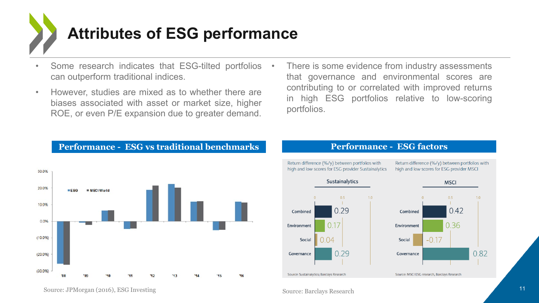

- Some research indicates that ESG-tilted portfolios can outperform traditional indices.
- However, studies are mixed as to whether there are biases associated with asset or market size, higher ROE, or even P/E expansion due to greater demand.
- There is some evidence from industry assessments that governance and environmental scores are contributing to or correlated with improved returns in high ESG portfolios relative to low-scoring portfolios.

#### **Performance - ESG vs traditional benchmarks**





Source: MSCI ESG research, Barclays Research

Source: Sustainalytics; Barclays Research

#### **Performance - ESG factors**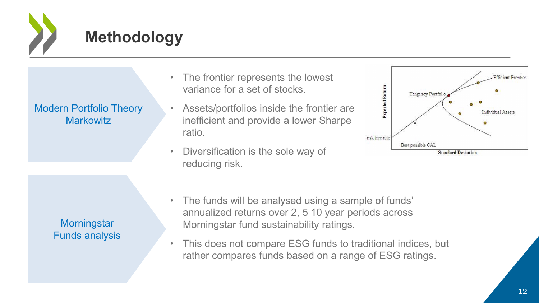

## **Methodology**

Modern Portfolio Theory **Markowitz** 

> **Morningstar** Funds analysis

- The frontier represents the lowest variance for a set of stocks.
- Assets/portfolios inside the frontier are inefficient and provide a lower Sharpe ratio.
- Diversification is the sole way of reducing risk.



- The funds will be analysed using a sample of funds' annualized returns over 2, 5 10 year periods across Morningstar fund sustainability ratings.
- This does not compare ESG funds to traditional indices, but rather compares funds based on a range of ESG ratings.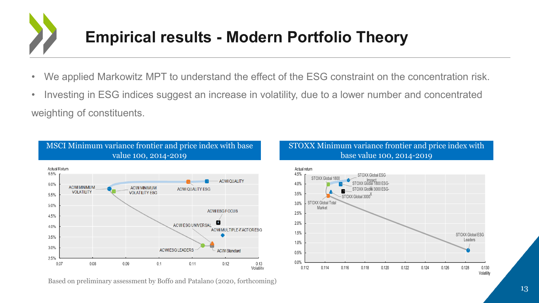

- We applied Markowitz MPT to understand the effect of the ESG constraint on the concentration risk.
- Investing in ESG indices suggest an increase in volatility, due to a lower number and concentrated weighting of constituents.

#### MSCI Minimum variance frontier and price index with base value 100, 2014-2019



Based on preliminary assessment by Boffo and Patalano (2020, forthcoming)

#### STOXX Minimum variance frontier and price index with base value 100, 2014-2019

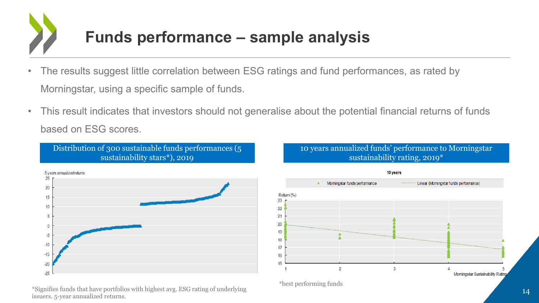

- The results suggest little correlation between ESG ratings and fund performances, as rated by Morningstar, using a specific sample of funds.
- This result indicates that investors should not generalise about the potential financial returns of funds based on ESG scores.

Distribution of 300 sustainable funds performances (5 sustainability stars\*), 2019



### \*Signifies funds that have portfolios with highest avg. ESG rating of underlying issuers. 5-year annualized returns. <sup>14</sup>

#### 10 years annualized funds' performance to Morningstar sustainability rating, 2019\*



\*best performing funds